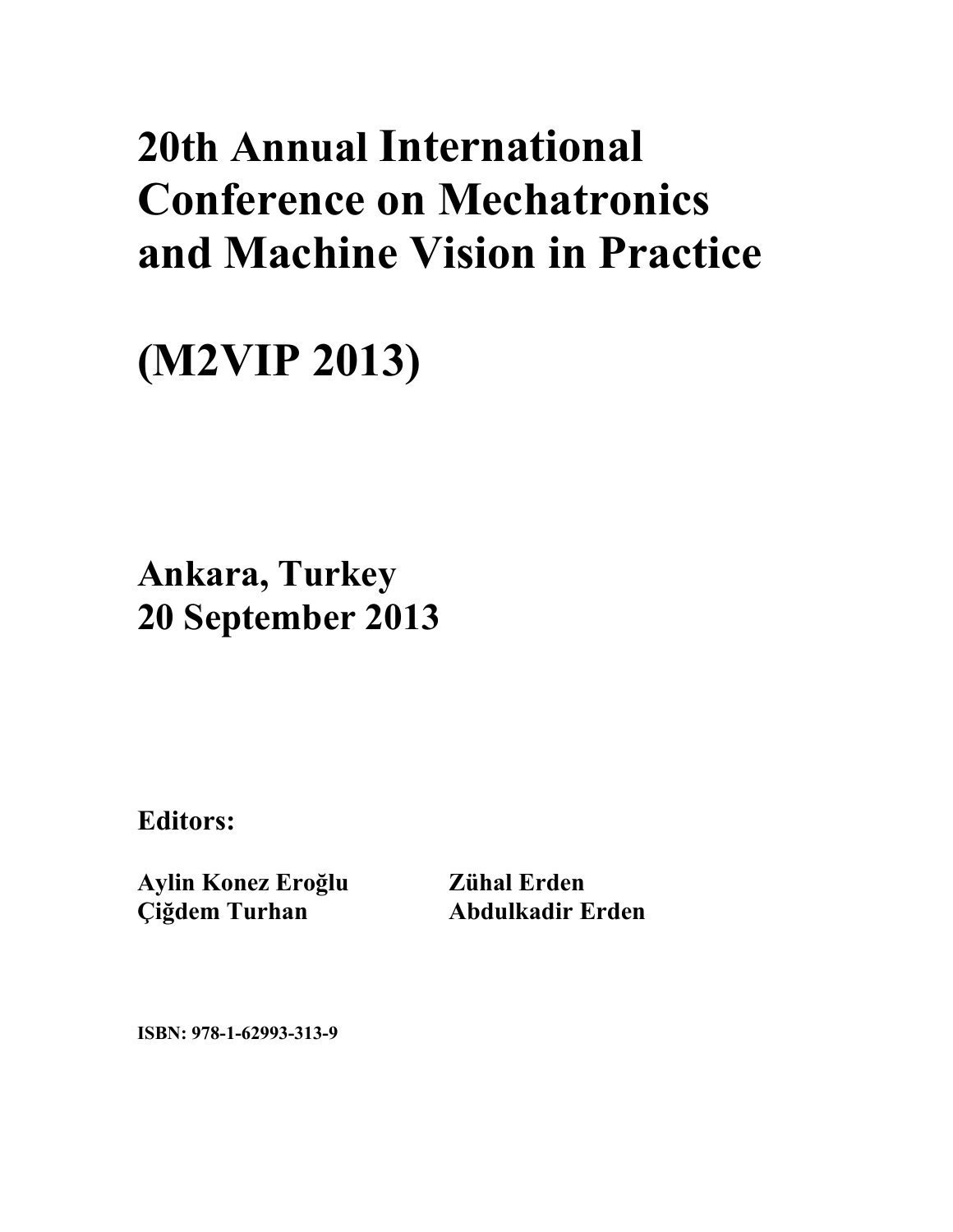## **20th Annual International Conference on Mechatronics** and Machine Vision in Practice

## (M2VIP 2013)

**Ankara, Turkey** 20 September 2013

**Editors:** 

Aylin Konez Eroğlu **Ciğdem Turhan** 

**Zühal Erden Abdulkadir Erden** 

ISBN: 978-1-62993-313-9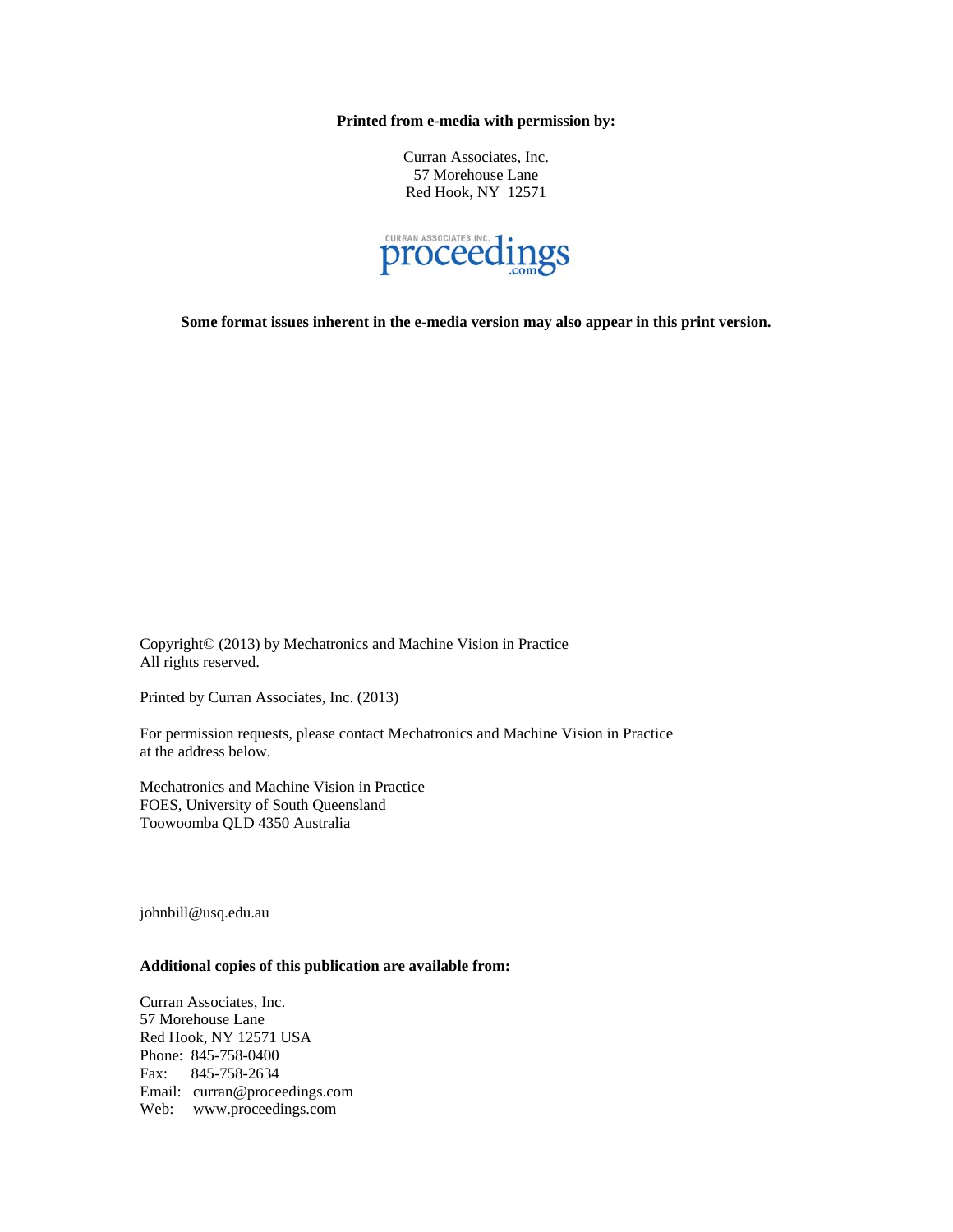**Printed from e-media with permission by:** 

Curran Associates, Inc. 57 Morehouse Lane Red Hook, NY 12571



**Some format issues inherent in the e-media version may also appear in this print version.** 

Copyright© (2013) by Mechatronics and Machine Vision in Practice All rights reserved.

Printed by Curran Associates, Inc. (2013)

For permission requests, please contact Mechatronics and Machine Vision in Practice at the address below.

Mechatronics and Machine Vision in Practice FOES, University of South Queensland Toowoomba QLD 4350 Australia

johnbill@usq.edu.au

## **Additional copies of this publication are available from:**

Curran Associates, Inc. 57 Morehouse Lane Red Hook, NY 12571 USA Phone: 845-758-0400 Fax: 845-758-2634 Email: curran@proceedings.com Web: www.proceedings.com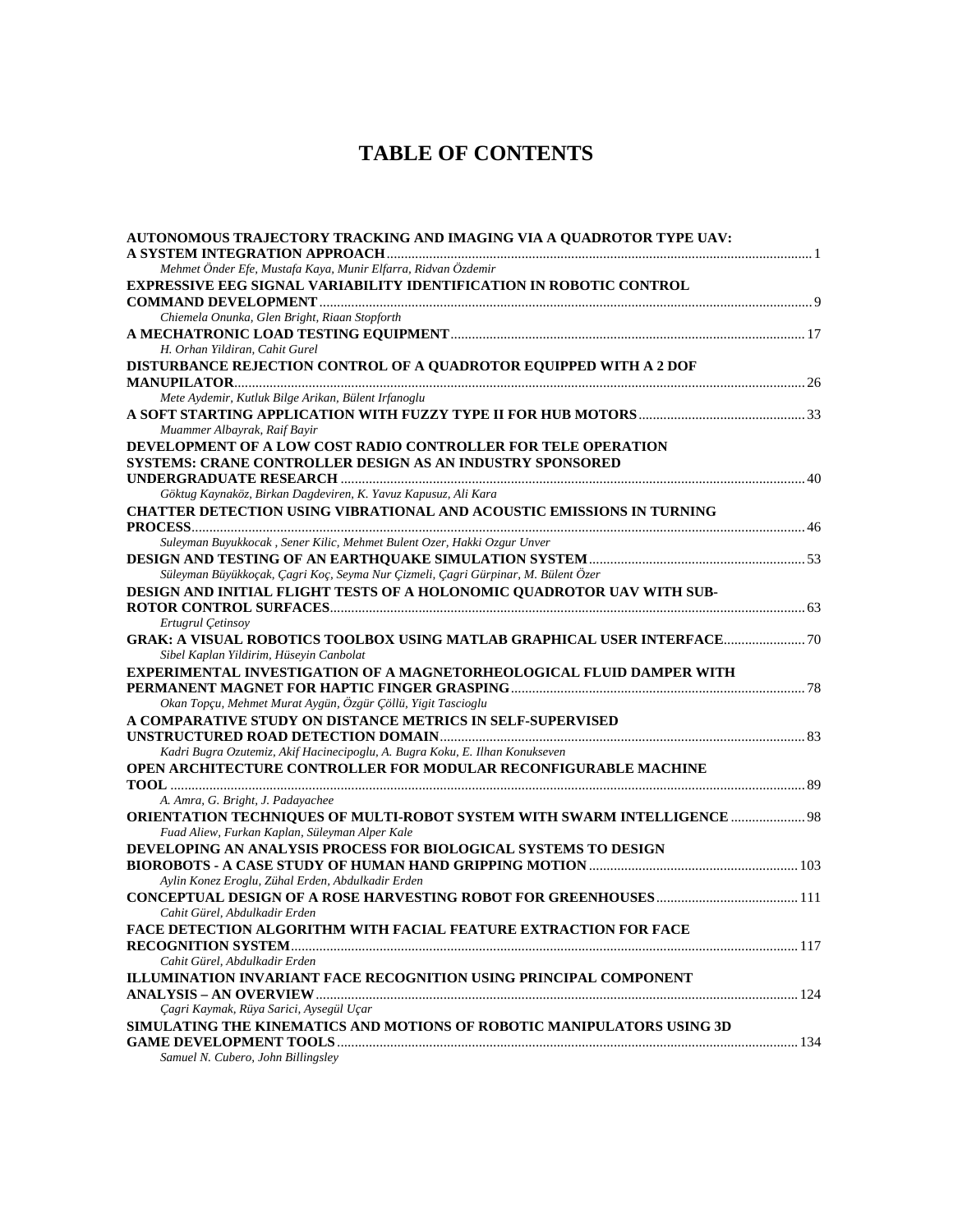## **TABLE OF CONTENTS**

| AUTONOMOUS TRAJECTORY TRACKING AND IMAGING VIA A QUADROTOR TYPE UAV:              |  |
|-----------------------------------------------------------------------------------|--|
|                                                                                   |  |
| Mehmet Önder Efe, Mustafa Kaya, Munir Elfarra, Ridvan Özdemir                     |  |
| <b>EXPRESSIVE EEG SIGNAL VARIABILITY IDENTIFICATION IN ROBOTIC CONTROL</b>        |  |
|                                                                                   |  |
| Chiemela Onunka, Glen Bright, Riaan Stopforth                                     |  |
|                                                                                   |  |
| H. Orhan Yildiran, Cahit Gurel                                                    |  |
| DISTURBANCE REJECTION CONTROL OF A QUADROTOR EQUIPPED WITH A 2 DOF                |  |
|                                                                                   |  |
| Mete Aydemir, Kutluk Bilge Arikan, Bülent Irfanoglu                               |  |
|                                                                                   |  |
| Muammer Albayrak, Raif Bayir                                                      |  |
| DEVELOPMENT OF A LOW COST RADIO CONTROLLER FOR TELE OPERATION                     |  |
| <b>SYSTEMS: CRANE CONTROLLER DESIGN AS AN INDUSTRY SPONSORED</b>                  |  |
|                                                                                   |  |
| Göktug Kaynaköz, Birkan Dagdeviren, K. Yavuz Kapusuz, Ali Kara                    |  |
| CHATTER DETECTION USING VIBRATIONAL AND ACOUSTIC EMISSIONS IN TURNING             |  |
|                                                                                   |  |
| Suleyman Buyukkocak, Sener Kilic, Mehmet Bulent Ozer, Hakki Ozgur Unver           |  |
|                                                                                   |  |
| Süleyman Büyükkoçak, Çagri Koç, Seyma Nur Çizmeli, Çagri Gürpinar, M. Bülent Özer |  |
| DESIGN AND INITIAL FLIGHT TESTS OF A HOLONOMIC QUADROTOR UAV WITH SUB-            |  |
|                                                                                   |  |
| Ertugrul Çetinsoy                                                                 |  |
| <b>GRAK: A VISUAL ROBOTICS TOOLBOX USING MATLAB GRAPHICAL USER INTERFACE 70</b>   |  |
| Sibel Kaplan Yildirim, Hüseyin Canbolat                                           |  |
| EXPERIMENTAL INVESTIGATION OF A MAGNETORHEOLOGICAL FLUID DAMPER WITH              |  |
|                                                                                   |  |
| Okan Topçu, Mehmet Murat Aygün, Özgür Çöllü, Yigit Tascioglu                      |  |
| A COMPARATIVE STUDY ON DISTANCE METRICS IN SELF-SUPERVISED                        |  |
|                                                                                   |  |
| Kadri Bugra Ozutemiz, Akif Hacinecipoglu, A. Bugra Koku, E. Ilhan Konukseven      |  |
| OPEN ARCHITECTURE CONTROLLER FOR MODULAR RECONFIGURABLE MACHINE                   |  |
|                                                                                   |  |
| A. Amra, G. Bright, J. Padayachee                                                 |  |
| ORIENTATION TECHNIQUES OF MULTI-ROBOT SYSTEM WITH SWARM INTELLIGENCE  98          |  |
| Fuad Aliew, Furkan Kaplan, Süleyman Alper Kale                                    |  |
| DEVELOPING AN ANALYSIS PROCESS FOR BIOLOGICAL SYSTEMS TO DESIGN                   |  |
|                                                                                   |  |
| Aylin Konez Eroglu, Zühal Erden, Abdulkadir Erden                                 |  |
|                                                                                   |  |
| Cahit Gürel, Abdulkadir Erden                                                     |  |
| FACE DETECTION ALGORITHM WITH FACIAL FEATURE EXTRACTION FOR FACE                  |  |
|                                                                                   |  |
| Cahit Gürel, Abdulkadir Erden                                                     |  |
| ILLUMINATION INVARIANT FACE RECOGNITION USING PRINCIPAL COMPONENT                 |  |
|                                                                                   |  |
| Çagri Kaymak, Rüya Sarici, Aysegül Uçar                                           |  |
| SIMULATING THE KINEMATICS AND MOTIONS OF ROBOTIC MANIPULATORS USING 3D            |  |
|                                                                                   |  |
| Samuel N. Cubero, John Billingsley                                                |  |